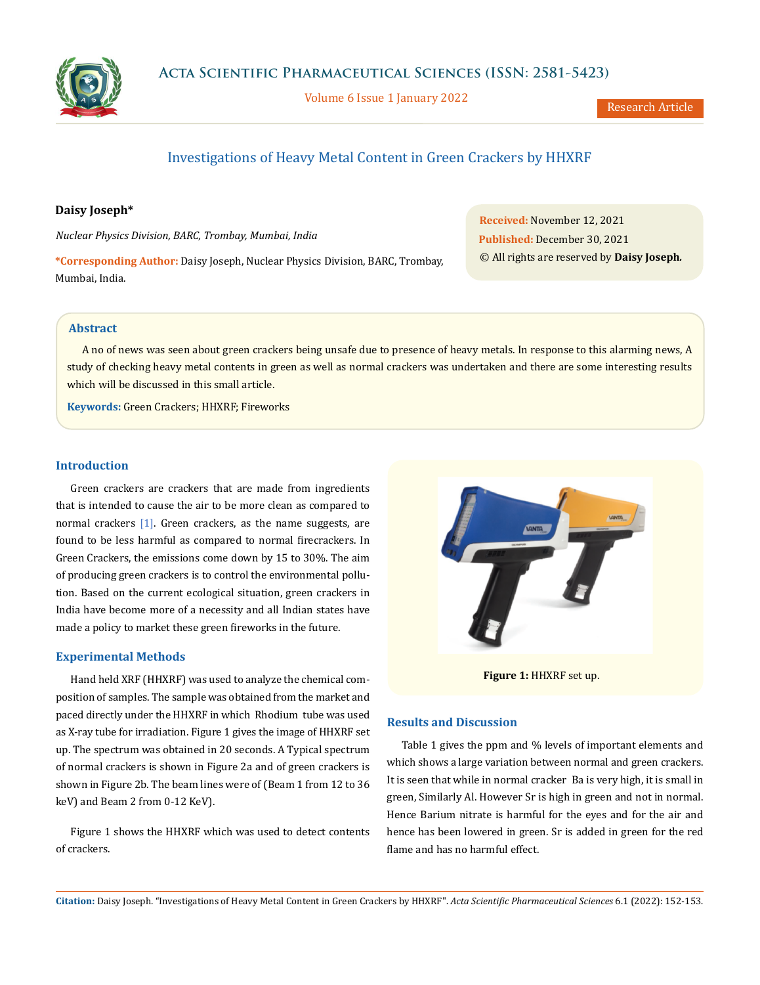

Volume 6 Issue 1 January 2022

Research Article

# Investigations of Heavy Metal Content in Green Crackers by HHXRF

## **Daisy Joseph\***

*Nuclear Physics Division, BARC, Trombay, Mumbai, India*

**\*Corresponding Author:** Daisy Joseph, Nuclear Physics Division, BARC, Trombay, Mumbai, India.

**Received:** November 12, 2021 **Published:** December 30, 2021 © All rights are reserved by **Daisy Joseph***.*

# **Abstract**

A no of news was seen about green crackers being unsafe due to presence of heavy metals. In response to this alarming news, A study of checking heavy metal contents in green as well as normal crackers was undertaken and there are some interesting results which will be discussed in this small article.

**Keywords:** Green Crackers; HHXRF; Fireworks

## **Introduction**

Green crackers are crackers that are made from ingredients that is intended to cause the air to be more clean as compared to normal crackers [1]. Green crackers, as the name suggests, are found to be less harmful as compared to normal firecrackers. In Green Crackers, the emissions come down by 15 to 30%. The aim of producing green crackers is to control the environmental pollution. Based on the current ecological situation, green crackers in India have become more of a necessity and all Indian states have made a policy to market these green fireworks in the future.

# **Experimental Methods**

Hand held XRF (HHXRF) was used to analyze the chemical composition of samples. The sample was obtained from the market and paced directly under the HHXRF in which Rhodium tube was used as X-ray tube for irradiation. Figure 1 gives the image of HHXRF set up. The spectrum was obtained in 20 seconds. A Typical spectrum of normal crackers is shown in Figure 2a and of green crackers is shown in Figure 2b. The beam lines were of (Beam 1 from 12 to 36 keV) and Beam 2 from 0-12 KeV).

Figure 1 shows the HHXRF which was used to detect contents of crackers.



**Figure 1:** HHXRF set up.

### **Results and Discussion**

Table 1 gives the ppm and % levels of important elements and which shows a large variation between normal and green crackers. It is seen that while in normal cracker Ba is very high, it is small in green, Similarly Al. However Sr is high in green and not in normal. Hence Barium nitrate is harmful for the eyes and for the air and hence has been lowered in green. Sr is added in green for the red flame and has no harmful effect.

**Citation:** Daisy Joseph*.* "Investigations of Heavy Metal Content in Green Crackers by HHXRF". *Acta Scientific Pharmaceutical Sciences* 6.1 (2022): 152-153.